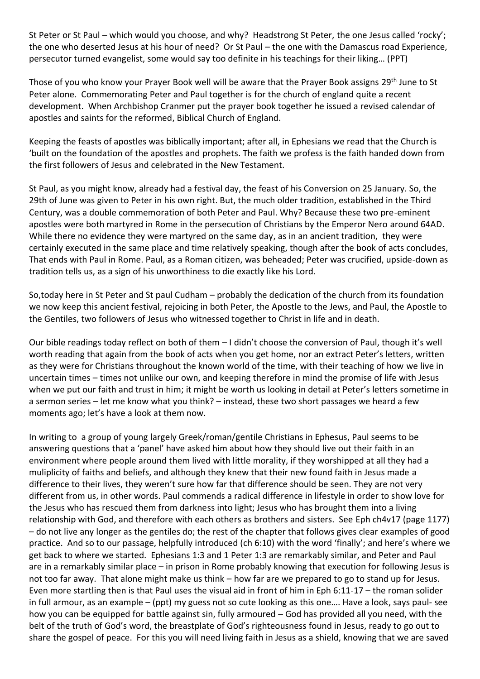St Peter or St Paul – which would you choose, and why? Headstrong St Peter, the one Jesus called 'rocky'; the one who deserted Jesus at his hour of need? Or St Paul – the one with the Damascus road Experience, persecutor turned evangelist, some would say too definite in his teachings for their liking… (PPT)

Those of you who know your Prayer Book well will be aware that the Prayer Book assigns 29<sup>th</sup> June to St Peter alone. Commemorating Peter and Paul together is for the church of england quite a recent development. When Archbishop Cranmer put the prayer book together he issued a revised calendar of apostles and saints for the reformed, Biblical Church of England.

Keeping the feasts of apostles was biblically important; after all, in Ephesians we read that the Church is 'built on the foundation of the apostles and prophets. The faith we profess is the faith handed down from the first followers of Jesus and celebrated in the New Testament.

St Paul, as you might know, already had a festival day, the feast of his Conversion on 25 January. So, the 29th of June was given to Peter in his own right. But, the much older tradition, established in the Third Century, was a double commemoration of both Peter and Paul. Why? Because these two pre-eminent apostles were both martyred in Rome in the persecution of Christians by the Emperor Nero around 64AD. While there no evidence they were martyred on the same day, as in an ancient tradition, they were certainly executed in the same place and time relatively speaking, though after the book of acts concludes, That ends with Paul in Rome. Paul, as a Roman citizen, was beheaded; Peter was crucified, upside-down as tradition tells us, as a sign of his unworthiness to die exactly like his Lord.

So,today here in St Peter and St paul Cudham – probably the dedication of the church from its foundation we now keep this ancient festival, rejoicing in both Peter, the Apostle to the Jews, and Paul, the Apostle to the Gentiles, two followers of Jesus who witnessed together to Christ in life and in death.

Our bible readings today reflect on both of them – I didn't choose the conversion of Paul, though it's well worth reading that again from the book of acts when you get home, nor an extract Peter's letters, written as they were for Christians throughout the known world of the time, with their teaching of how we live in uncertain times – times not unlike our own, and keeping therefore in mind the promise of life with Jesus when we put our faith and trust in him; it might be worth us looking in detail at Peter's letters sometime in a sermon series – let me know what you think? – instead, these two short passages we heard a few moments ago; let's have a look at them now.

In writing to a group of young largely Greek/roman/gentile Christians in Ephesus, Paul seems to be answering questions that a 'panel' have asked him about how they should live out their faith in an environment where people around them lived with little morality, if they worshipped at all they had a muliplicity of faiths and beliefs, and although they knew that their new found faith in Jesus made a difference to their lives, they weren't sure how far that difference should be seen. They are not very different from us, in other words. Paul commends a radical difference in lifestyle in order to show love for the Jesus who has rescued them from darkness into light; Jesus who has brought them into a living relationship with God, and therefore with each others as brothers and sisters. See Eph ch4v17 (page 1177) – do not live any longer as the gentiles do; the rest of the chapter that follows gives clear examples of good practice. And so to our passage, helpfully introduced (ch 6:10) with the word 'finally'; and here's where we get back to where we started. Ephesians 1:3 and 1 Peter 1:3 are remarkably similar, and Peter and Paul are in a remarkably similar place – in prison in Rome probably knowing that execution for following Jesus is not too far away. That alone might make us think – how far are we prepared to go to stand up for Jesus. Even more startling then is that Paul uses the visual aid in front of him in Eph 6:11-17 – the roman solider in full armour, as an example – (ppt) my guess not so cute looking as this one…. Have a look, says paul- see how you can be equipped for battle against sin, fully armoured – God has provided all you need, with the belt of the truth of God's word, the breastplate of God's righteousness found in Jesus, ready to go out to share the gospel of peace. For this you will need living faith in Jesus as a shield, knowing that we are saved